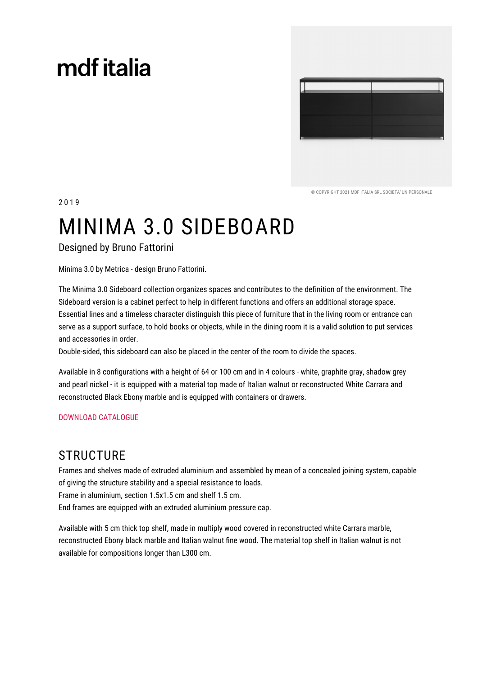# mdf italia



© COPYRIGHT 2021 MDE ITALIA SRL SOCIETA' UNIPERSONALE

# MINIMA 3.0 SIDEBOARD

**Designed by Bruno Fattorini** 

2019

Minima 3.0 by Metrica - design Bruno Fattorini.

The Minima 3.0 Sideboard collection organizes spaces and contributes to the definition of the environment. The Sideboard version is a cabinet perfect to help in different functions and offers an additional storage space. Essential lines and a timeless character distinguish this piece of furniture that in the living room or entrance can serve as a support surface, to hold books or objects, while in the dining room it is a valid solution to put services and accessories in order.

Double-sided, this sideboard can also be placed in the center of the room to divide the spaces.

Available in 8 configurations with a height of 64 or 100 cm and in 4 colours - white, graphite gray, shadow grey and pearl nickel - it is equipped with a material top made of Italian walnut or reconstructed White Carrara and reconstructed Black Ebony marble and is equipped with containers or drawers.

#### **DOWNLOAD CATALOGUE**

### **STRUCTURE**

Frames and shelves made of extruded aluminium and assembled by mean of a concealed joining system, capable of giving the structure stability and a special resistance to loads.

Frame in aluminium, section 1.5x1.5 cm and shelf 1.5 cm.

End frames are equipped with an extruded aluminium pressure cap.

Available with 5 cm thick top shelf, made in multiply wood covered in reconstructed white Carrara marble, reconstructed Ebony black marble and Italian walnut fine wood. The material top shelf in Italian walnut is not available for compositions longer than L300 cm.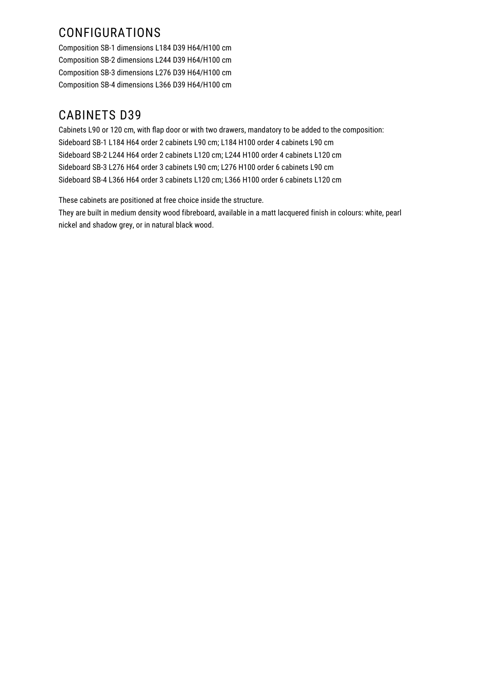## CONFIGURATIONS

Composition SB-1 dimensions L184 D39 H64/H100 cm Composition SB-2 dimensions L244 D39 H64/H100 cm Composition SB-3 dimensions L276 D39 H64/H100 cm Composition SB-4 dimensions L366 D39 H64/H100 cm

## **CABINETS D39**

Cabinets L90 or 120 cm, with flap door or with two drawers, mandatory to be added to the composition: Sideboard SB-1 L184 H64 order 2 cabinets L90 cm; L184 H100 order 4 cabinets L90 cm Sideboard SB-2 L244 H64 order 2 cabinets L120 cm; L244 H100 order 4 cabinets L120 cm Sideboard SB-3 L276 H64 order 3 cabinets L90 cm; L276 H100 order 6 cabinets L90 cm Sideboard SB-4 L366 H64 order 3 cabinets L120 cm; L366 H100 order 6 cabinets L120 cm

These cabinets are positioned at free choice inside the structure.

They are built in medium density wood fibreboard, available in a matt lacquered finish in colours: white, pearl nickel and shadow grey, or in natural black wood.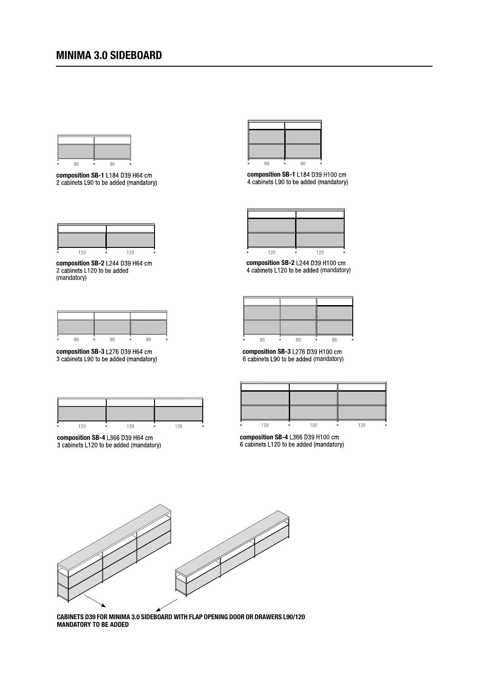

composition SB-1 L184 D39 H64 cm 2 cabinets L90 to be added (mandatory)

| 120 | 120 |  |
|-----|-----|--|

composition SB-2 L244 D39 H64 cm 2 cabinets L120 to be added (mandatory)

composition SB-3 L276 D39 H64 cm<br>3 cabinets L90 to be added (mandatory)

|  | ٠,١٠ | ンハ |
|--|------|----|

composition SB-4 L366 D39 H64 cm<br>3 cabinets L120 to be added (mandatory)



composition SB-1 L184 D39 H100 cm<br>4 cabinets L90 to be added (mandatory)

| 120 | 120 |
|-----|-----|

composition SB-2 L244 D39 H100 cm 4 cabinets L120 to be added (mandatory)

composition SB-3 L276 D39 H100 cm 6 cabinets L90 to be added (mandatory)



composition SB-4 L366 D39 H100 cm 6 cabinets L120 to be added (mandatory)



CABINETS D39 FOR MINIMA 3.0 SIDEBOARD WITH FLAP OPENING DOOR OR DRAWERS L90/120 **MANDATORY TO BE ADDED**